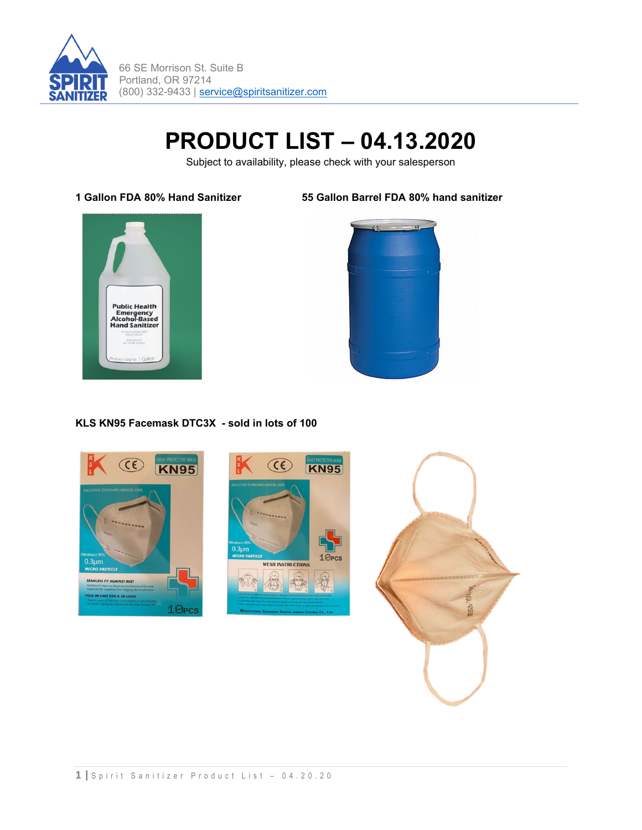

# **PRODUCT LIST – 04.13.2020**

Subject to availability, please check with your salesperson

**1 Gallon FDA 80% Hand Sanitizer 55 Gallon Barrel FDA 80% hand sanitizer** 





## **KLS KN95 Facemask DTC3X - sold in lots of 100**

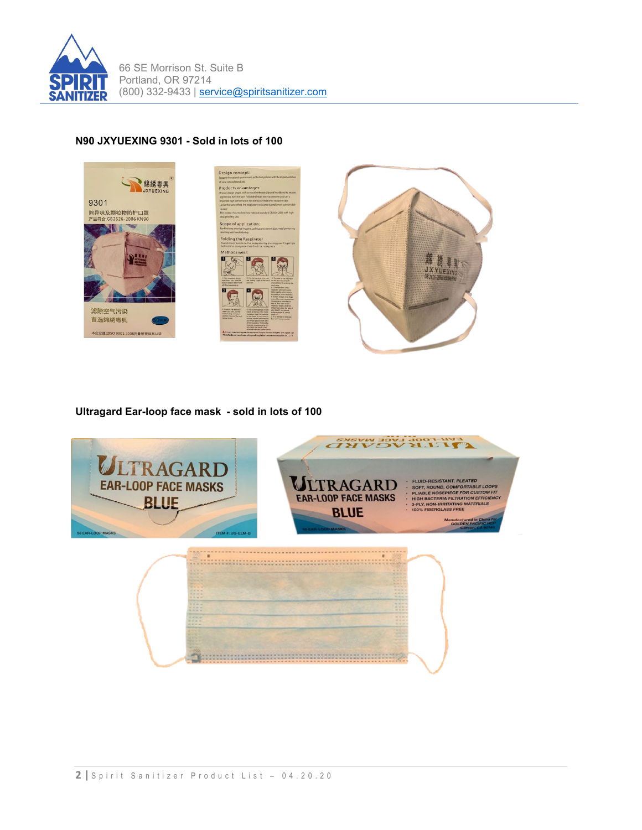

## **N90 JXYUEXING 9301 - Sold in lots of 100**



**Ultragard Ear-loop face mask - sold in lots of 100**